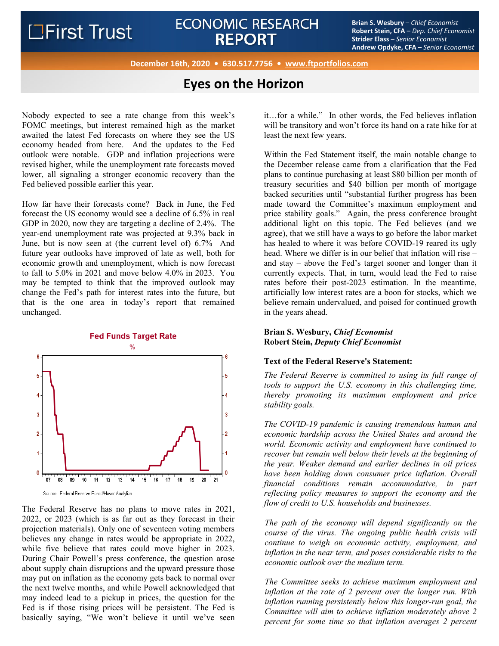# ECONOMIC RESEARCH<br>**BEDOPT BRIANT BRIANT BEDOPT Exity Examplement Stripe** *Chief Economist*<br>Children Carlier Carlier Conduct **REPORT**

**Robert Stein, CFA** – *Dep. Chief Economist* **Strider Elass** – *Senior Economist* **Andrew Opdyke, CFA –** *Senior Economist*

**December 16th, 2020 • 630.517.7756 • www.ftportfolios.com**

## **Eyes on the Horizon**

Nobody expected to see a rate change from this week's FOMC meetings, but interest remained high as the market awaited the latest Fed forecasts on where they see the US economy headed from here. And the updates to the Fed outlook were notable. GDP and inflation projections were revised higher, while the unemployment rate forecasts moved lower, all signaling a stronger economic recovery than the Fed believed possible earlier this year.

How far have their forecasts come? Back in June, the Fed forecast the US economy would see a decline of 6.5% in real GDP in 2020, now they are targeting a decline of 2.4%. The year-end unemployment rate was projected at 9.3% back in June, but is now seen at (the current level of) 6.7% And future year outlooks have improved of late as well, both for economic growth and unemployment, which is now forecast to fall to 5.0% in 2021 and move below 4.0% in 2023. You may be tempted to think that the improved outlook may change the Fed's path for interest rates into the future, but that is the one area in today's report that remained unchanged.



**Fed Funds Target Rate** 

The Federal Reserve has no plans to move rates in 2021, 2022, or 2023 (which is as far out as they forecast in their projection materials). Only one of seventeen voting members believes any change in rates would be appropriate in 2022, while five believe that rates could move higher in 2023. During Chair Powell's press conference, the question arose about supply chain disruptions and the upward pressure those may put on inflation as the economy gets back to normal over the next twelve months, and while Powell acknowledged that may indeed lead to a pickup in prices, the question for the Fed is if those rising prices will be persistent. The Fed is basically saying, "We won't believe it until we've seen it…for a while." In other words, the Fed believes inflation will be transitory and won't force its hand on a rate hike for at least the next few years.

Within the Fed Statement itself, the main notable change to the December release came from a clarification that the Fed plans to continue purchasing at least \$80 billion per month of treasury securities and \$40 billion per month of mortgage backed securities until "substantial further progress has been made toward the Committee's maximum employment and price stability goals." Again, the press conference brought additional light on this topic. The Fed believes (and we agree), that we still have a ways to go before the labor market has healed to where it was before COVID-19 reared its ugly head. Where we differ is in our belief that inflation will rise – and stay – above the Fed's target sooner and longer than it currently expects. That, in turn, would lead the Fed to raise rates before their post-2023 estimation. In the meantime, artificially low interest rates are a boon for stocks, which we believe remain undervalued, and poised for continued growth in the years ahead.

## **Brian S. Wesbury,** *Chief Economist* **Robert Stein,** *Deputy Chief Economist*

### **Text of the Federal Reserve's Statement:**

*The Federal Reserve is committed to using its full range of tools to support the U.S. economy in this challenging time, thereby promoting its maximum employment and price stability goals.* 

*The COVID-19 pandemic is causing tremendous human and economic hardship across the United States and around the world. Economic activity and employment have continued to recover but remain well below their levels at the beginning of the year. Weaker demand and earlier declines in oil prices have been holding down consumer price inflation. Overall financial conditions remain accommodative, in part reflecting policy measures to support the economy and the flow of credit to U.S. households and businesses.* 

*The path of the economy will depend significantly on the course of the virus. The ongoing public health crisis will continue to weigh on economic activity, employment, and inflation in the near term, and poses considerable risks to the economic outlook over the medium term.* 

*The Committee seeks to achieve maximum employment and inflation at the rate of 2 percent over the longer run. With inflation running persistently below this longer-run goal, the Committee will aim to achieve inflation moderately above 2 percent for some time so that inflation averages 2 percent* 

Source: Federal Reserve Board/Haver Analytics